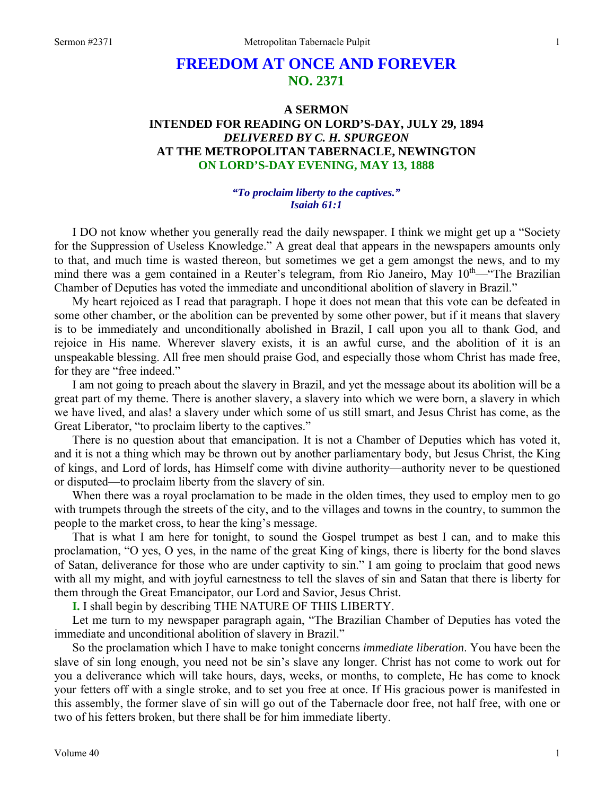# **FREEDOM AT ONCE AND FOREVER NO. 2371**

# **A SERMON INTENDED FOR READING ON LORD'S-DAY, JULY 29, 1894**  *DELIVERED BY C. H. SPURGEON*  **AT THE METROPOLITAN TABERNACLE, NEWINGTON ON LORD'S-DAY EVENING, MAY 13, 1888**

### *"To proclaim liberty to the captives." Isaiah 61:1*

I DO not know whether you generally read the daily newspaper. I think we might get up a "Society for the Suppression of Useless Knowledge." A great deal that appears in the newspapers amounts only to that, and much time is wasted thereon, but sometimes we get a gem amongst the news, and to my mind there was a gem contained in a Reuter's telegram, from Rio Janeiro, May 10<sup>th</sup>—"The Brazilian Chamber of Deputies has voted the immediate and unconditional abolition of slavery in Brazil."

My heart rejoiced as I read that paragraph. I hope it does not mean that this vote can be defeated in some other chamber, or the abolition can be prevented by some other power, but if it means that slavery is to be immediately and unconditionally abolished in Brazil, I call upon you all to thank God, and rejoice in His name. Wherever slavery exists, it is an awful curse, and the abolition of it is an unspeakable blessing. All free men should praise God, and especially those whom Christ has made free, for they are "free indeed."

I am not going to preach about the slavery in Brazil, and yet the message about its abolition will be a great part of my theme. There is another slavery, a slavery into which we were born, a slavery in which we have lived, and alas! a slavery under which some of us still smart, and Jesus Christ has come, as the Great Liberator, "to proclaim liberty to the captives."

There is no question about that emancipation. It is not a Chamber of Deputies which has voted it, and it is not a thing which may be thrown out by another parliamentary body, but Jesus Christ, the King of kings, and Lord of lords, has Himself come with divine authority—authority never to be questioned or disputed—to proclaim liberty from the slavery of sin.

When there was a royal proclamation to be made in the olden times, they used to employ men to go with trumpets through the streets of the city, and to the villages and towns in the country, to summon the people to the market cross, to hear the king's message.

That is what I am here for tonight, to sound the Gospel trumpet as best I can, and to make this proclamation, "O yes, O yes, in the name of the great King of kings, there is liberty for the bond slaves of Satan, deliverance for those who are under captivity to sin." I am going to proclaim that good news with all my might, and with joyful earnestness to tell the slaves of sin and Satan that there is liberty for them through the Great Emancipator, our Lord and Savior, Jesus Christ.

**I.** I shall begin by describing THE NATURE OF THIS LIBERTY.

Let me turn to my newspaper paragraph again, "The Brazilian Chamber of Deputies has voted the immediate and unconditional abolition of slavery in Brazil."

So the proclamation which I have to make tonight concerns *immediate liberation*. You have been the slave of sin long enough, you need not be sin's slave any longer. Christ has not come to work out for you a deliverance which will take hours, days, weeks, or months, to complete, He has come to knock your fetters off with a single stroke, and to set you free at once. If His gracious power is manifested in this assembly, the former slave of sin will go out of the Tabernacle door free, not half free, with one or two of his fetters broken, but there shall be for him immediate liberty.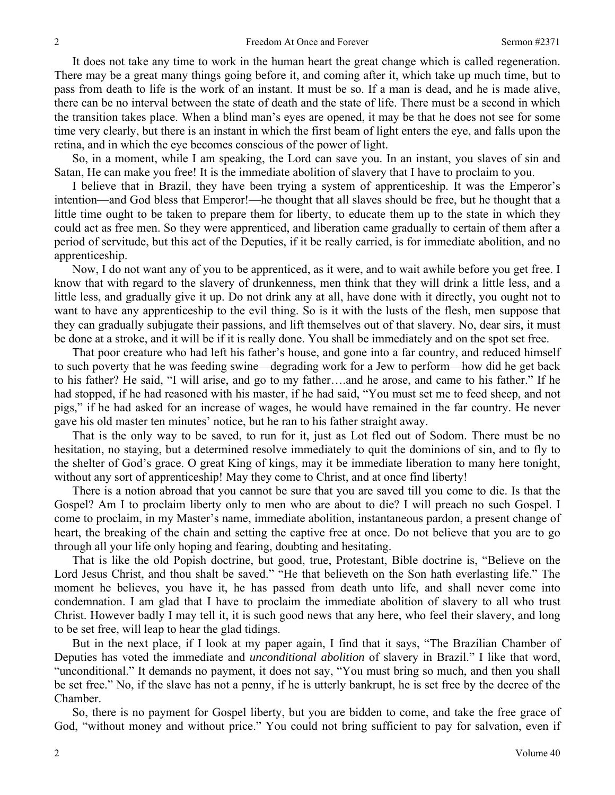It does not take any time to work in the human heart the great change which is called regeneration. There may be a great many things going before it, and coming after it, which take up much time, but to pass from death to life is the work of an instant. It must be so. If a man is dead, and he is made alive, there can be no interval between the state of death and the state of life. There must be a second in which the transition takes place. When a blind man's eyes are opened, it may be that he does not see for some time very clearly, but there is an instant in which the first beam of light enters the eye, and falls upon the retina, and in which the eye becomes conscious of the power of light.

So, in a moment, while I am speaking, the Lord can save you. In an instant, you slaves of sin and Satan, He can make you free! It is the immediate abolition of slavery that I have to proclaim to you.

I believe that in Brazil, they have been trying a system of apprenticeship. It was the Emperor's intention—and God bless that Emperor!—he thought that all slaves should be free, but he thought that a little time ought to be taken to prepare them for liberty, to educate them up to the state in which they could act as free men. So they were apprenticed, and liberation came gradually to certain of them after a period of servitude, but this act of the Deputies, if it be really carried, is for immediate abolition, and no apprenticeship.

Now, I do not want any of you to be apprenticed, as it were, and to wait awhile before you get free. I know that with regard to the slavery of drunkenness, men think that they will drink a little less, and a little less, and gradually give it up. Do not drink any at all, have done with it directly, you ought not to want to have any apprenticeship to the evil thing. So is it with the lusts of the flesh, men suppose that they can gradually subjugate their passions, and lift themselves out of that slavery. No, dear sirs, it must be done at a stroke, and it will be if it is really done. You shall be immediately and on the spot set free.

That poor creature who had left his father's house, and gone into a far country, and reduced himself to such poverty that he was feeding swine—degrading work for a Jew to perform—how did he get back to his father? He said, "I will arise, and go to my father….and he arose, and came to his father." If he had stopped, if he had reasoned with his master, if he had said, "You must set me to feed sheep, and not pigs," if he had asked for an increase of wages, he would have remained in the far country. He never gave his old master ten minutes' notice, but he ran to his father straight away.

That is the only way to be saved, to run for it, just as Lot fled out of Sodom. There must be no hesitation, no staying, but a determined resolve immediately to quit the dominions of sin, and to fly to the shelter of God's grace. O great King of kings, may it be immediate liberation to many here tonight, without any sort of apprenticeship! May they come to Christ, and at once find liberty!

There is a notion abroad that you cannot be sure that you are saved till you come to die. Is that the Gospel? Am I to proclaim liberty only to men who are about to die? I will preach no such Gospel. I come to proclaim, in my Master's name, immediate abolition, instantaneous pardon, a present change of heart, the breaking of the chain and setting the captive free at once. Do not believe that you are to go through all your life only hoping and fearing, doubting and hesitating.

That is like the old Popish doctrine, but good, true, Protestant, Bible doctrine is, "Believe on the Lord Jesus Christ, and thou shalt be saved." "He that believeth on the Son hath everlasting life." The moment he believes, you have it, he has passed from death unto life, and shall never come into condemnation. I am glad that I have to proclaim the immediate abolition of slavery to all who trust Christ. However badly I may tell it, it is such good news that any here, who feel their slavery, and long to be set free, will leap to hear the glad tidings.

But in the next place, if I look at my paper again, I find that it says, "The Brazilian Chamber of Deputies has voted the immediate and *unconditional abolition* of slavery in Brazil." I like that word, "unconditional." It demands no payment, it does not say, "You must bring so much, and then you shall be set free." No, if the slave has not a penny, if he is utterly bankrupt, he is set free by the decree of the Chamber.

So, there is no payment for Gospel liberty, but you are bidden to come, and take the free grace of God, "without money and without price." You could not bring sufficient to pay for salvation, even if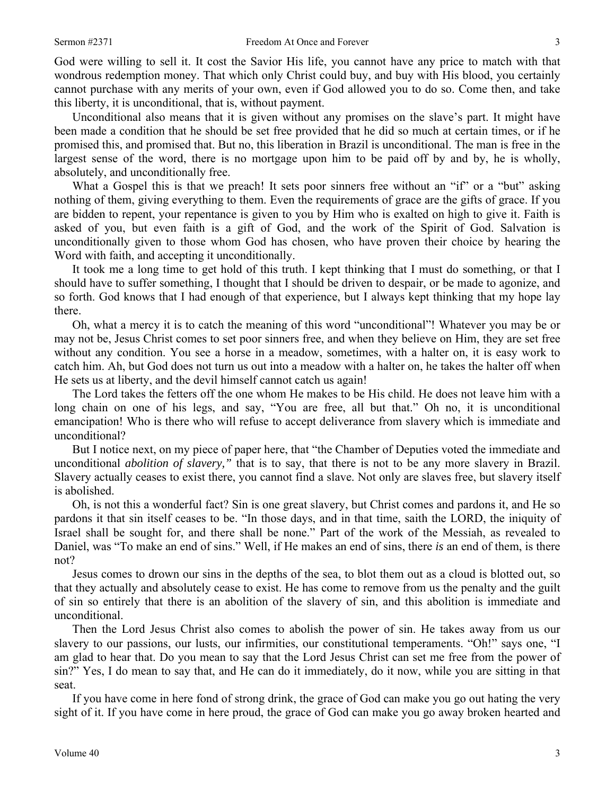God were willing to sell it. It cost the Savior His life, you cannot have any price to match with that wondrous redemption money. That which only Christ could buy, and buy with His blood, you certainly cannot purchase with any merits of your own, even if God allowed you to do so. Come then, and take this liberty, it is unconditional, that is, without payment.

Unconditional also means that it is given without any promises on the slave's part. It might have been made a condition that he should be set free provided that he did so much at certain times, or if he promised this, and promised that. But no, this liberation in Brazil is unconditional. The man is free in the largest sense of the word, there is no mortgage upon him to be paid off by and by, he is wholly, absolutely, and unconditionally free.

What a Gospel this is that we preach! It sets poor sinners free without an "if" or a "but" asking nothing of them, giving everything to them. Even the requirements of grace are the gifts of grace. If you are bidden to repent, your repentance is given to you by Him who is exalted on high to give it. Faith is asked of you, but even faith is a gift of God, and the work of the Spirit of God. Salvation is unconditionally given to those whom God has chosen, who have proven their choice by hearing the Word with faith, and accepting it unconditionally.

It took me a long time to get hold of this truth. I kept thinking that I must do something, or that I should have to suffer something, I thought that I should be driven to despair, or be made to agonize, and so forth. God knows that I had enough of that experience, but I always kept thinking that my hope lay there.

Oh, what a mercy it is to catch the meaning of this word "unconditional"! Whatever you may be or may not be, Jesus Christ comes to set poor sinners free, and when they believe on Him, they are set free without any condition. You see a horse in a meadow, sometimes, with a halter on, it is easy work to catch him. Ah, but God does not turn us out into a meadow with a halter on, he takes the halter off when He sets us at liberty, and the devil himself cannot catch us again!

The Lord takes the fetters off the one whom He makes to be His child. He does not leave him with a long chain on one of his legs, and say, "You are free, all but that." Oh no, it is unconditional emancipation! Who is there who will refuse to accept deliverance from slavery which is immediate and unconditional?

But I notice next, on my piece of paper here, that "the Chamber of Deputies voted the immediate and unconditional *abolition of slavery,"* that is to say, that there is not to be any more slavery in Brazil. Slavery actually ceases to exist there, you cannot find a slave. Not only are slaves free, but slavery itself is abolished.

Oh, is not this a wonderful fact? Sin is one great slavery, but Christ comes and pardons it, and He so pardons it that sin itself ceases to be. "In those days, and in that time, saith the LORD, the iniquity of Israel shall be sought for, and there shall be none." Part of the work of the Messiah, as revealed to Daniel, was "To make an end of sins." Well, if He makes an end of sins, there *is* an end of them, is there not?

Jesus comes to drown our sins in the depths of the sea, to blot them out as a cloud is blotted out, so that they actually and absolutely cease to exist. He has come to remove from us the penalty and the guilt of sin so entirely that there is an abolition of the slavery of sin, and this abolition is immediate and unconditional.

Then the Lord Jesus Christ also comes to abolish the power of sin. He takes away from us our slavery to our passions, our lusts, our infirmities, our constitutional temperaments. "Oh!" says one, "I am glad to hear that. Do you mean to say that the Lord Jesus Christ can set me free from the power of sin?" Yes, I do mean to say that, and He can do it immediately, do it now, while you are sitting in that seat.

If you have come in here fond of strong drink, the grace of God can make you go out hating the very sight of it. If you have come in here proud, the grace of God can make you go away broken hearted and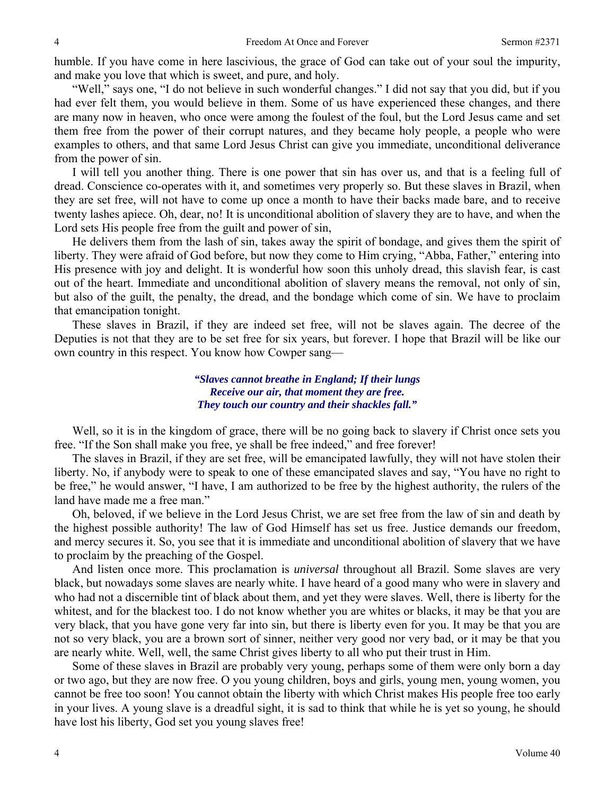humble. If you have come in here lascivious, the grace of God can take out of your soul the impurity, and make you love that which is sweet, and pure, and holy.

"Well," says one, "I do not believe in such wonderful changes." I did not say that you did, but if you had ever felt them, you would believe in them. Some of us have experienced these changes, and there are many now in heaven, who once were among the foulest of the foul, but the Lord Jesus came and set them free from the power of their corrupt natures, and they became holy people, a people who were examples to others, and that same Lord Jesus Christ can give you immediate, unconditional deliverance from the power of sin.

I will tell you another thing. There is one power that sin has over us, and that is a feeling full of dread. Conscience co-operates with it, and sometimes very properly so. But these slaves in Brazil, when they are set free, will not have to come up once a month to have their backs made bare, and to receive twenty lashes apiece. Oh, dear, no! It is unconditional abolition of slavery they are to have, and when the Lord sets His people free from the guilt and power of sin,

He delivers them from the lash of sin, takes away the spirit of bondage, and gives them the spirit of liberty. They were afraid of God before, but now they come to Him crying, "Abba, Father," entering into His presence with joy and delight. It is wonderful how soon this unholy dread, this slavish fear, is cast out of the heart. Immediate and unconditional abolition of slavery means the removal, not only of sin, but also of the guilt, the penalty, the dread, and the bondage which come of sin. We have to proclaim that emancipation tonight.

These slaves in Brazil, if they are indeed set free, will not be slaves again. The decree of the Deputies is not that they are to be set free for six years, but forever. I hope that Brazil will be like our own country in this respect. You know how Cowper sang—

> *"Slaves cannot breathe in England; If their lungs Receive our air, that moment they are free. They touch our country and their shackles fall."*

Well, so it is in the kingdom of grace, there will be no going back to slavery if Christ once sets you free. "If the Son shall make you free, ye shall be free indeed," and free forever!

The slaves in Brazil, if they are set free, will be emancipated lawfully, they will not have stolen their liberty. No, if anybody were to speak to one of these emancipated slaves and say, "You have no right to be free," he would answer, "I have, I am authorized to be free by the highest authority, the rulers of the land have made me a free man."

Oh, beloved, if we believe in the Lord Jesus Christ, we are set free from the law of sin and death by the highest possible authority! The law of God Himself has set us free. Justice demands our freedom, and mercy secures it. So, you see that it is immediate and unconditional abolition of slavery that we have to proclaim by the preaching of the Gospel.

And listen once more. This proclamation is *universal* throughout all Brazil. Some slaves are very black, but nowadays some slaves are nearly white. I have heard of a good many who were in slavery and who had not a discernible tint of black about them, and yet they were slaves. Well, there is liberty for the whitest, and for the blackest too. I do not know whether you are whites or blacks, it may be that you are very black, that you have gone very far into sin, but there is liberty even for you. It may be that you are not so very black, you are a brown sort of sinner, neither very good nor very bad, or it may be that you are nearly white. Well, well, the same Christ gives liberty to all who put their trust in Him.

Some of these slaves in Brazil are probably very young, perhaps some of them were only born a day or two ago, but they are now free. O you young children, boys and girls, young men, young women, you cannot be free too soon! You cannot obtain the liberty with which Christ makes His people free too early in your lives. A young slave is a dreadful sight, it is sad to think that while he is yet so young, he should have lost his liberty, God set you young slaves free!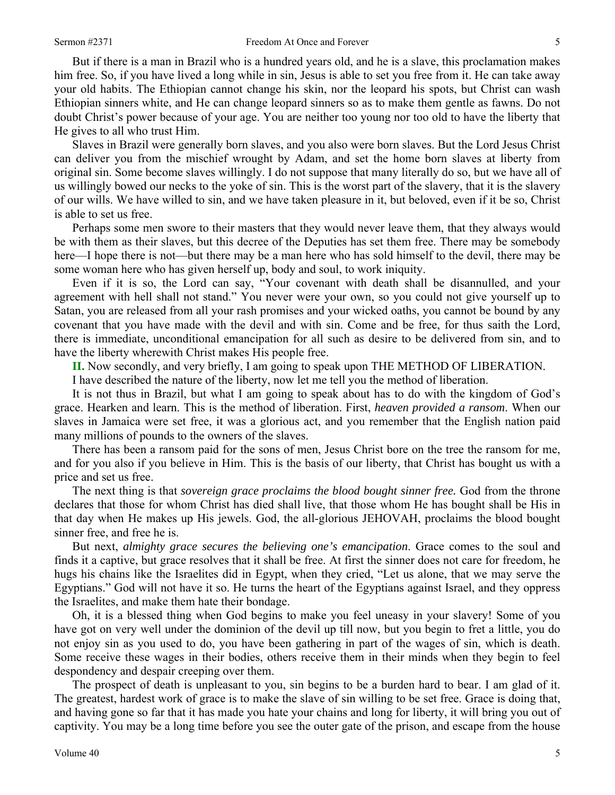But if there is a man in Brazil who is a hundred years old, and he is a slave, this proclamation makes him free. So, if you have lived a long while in sin, Jesus is able to set you free from it. He can take away your old habits. The Ethiopian cannot change his skin, nor the leopard his spots, but Christ can wash Ethiopian sinners white, and He can change leopard sinners so as to make them gentle as fawns. Do not doubt Christ's power because of your age. You are neither too young nor too old to have the liberty that He gives to all who trust Him.

Slaves in Brazil were generally born slaves, and you also were born slaves. But the Lord Jesus Christ can deliver you from the mischief wrought by Adam, and set the home born slaves at liberty from original sin. Some become slaves willingly. I do not suppose that many literally do so, but we have all of us willingly bowed our necks to the yoke of sin. This is the worst part of the slavery, that it is the slavery of our wills. We have willed to sin, and we have taken pleasure in it, but beloved, even if it be so, Christ is able to set us free.

Perhaps some men swore to their masters that they would never leave them, that they always would be with them as their slaves, but this decree of the Deputies has set them free. There may be somebody here—I hope there is not—but there may be a man here who has sold himself to the devil, there may be some woman here who has given herself up, body and soul, to work iniquity.

Even if it is so, the Lord can say, "Your covenant with death shall be disannulled, and your agreement with hell shall not stand." You never were your own, so you could not give yourself up to Satan, you are released from all your rash promises and your wicked oaths, you cannot be bound by any covenant that you have made with the devil and with sin. Come and be free, for thus saith the Lord, there is immediate, unconditional emancipation for all such as desire to be delivered from sin, and to have the liberty wherewith Christ makes His people free.

**II.** Now secondly, and very briefly, I am going to speak upon THE METHOD OF LIBERATION.

I have described the nature of the liberty, now let me tell you the method of liberation.

It is not thus in Brazil, but what I am going to speak about has to do with the kingdom of God's grace. Hearken and learn. This is the method of liberation. First, *heaven provided a ransom*. When our slaves in Jamaica were set free, it was a glorious act, and you remember that the English nation paid many millions of pounds to the owners of the slaves.

There has been a ransom paid for the sons of men, Jesus Christ bore on the tree the ransom for me, and for you also if you believe in Him. This is the basis of our liberty, that Christ has bought us with a price and set us free.

The next thing is that *sovereign grace proclaims the blood bought sinner free*. God from the throne declares that those for whom Christ has died shall live, that those whom He has bought shall be His in that day when He makes up His jewels. God, the all-glorious JEHOVAH, proclaims the blood bought sinner free, and free he is.

But next, *almighty grace secures the believing one's emancipation*. Grace comes to the soul and finds it a captive, but grace resolves that it shall be free. At first the sinner does not care for freedom, he hugs his chains like the Israelites did in Egypt, when they cried, "Let us alone, that we may serve the Egyptians." God will not have it so. He turns the heart of the Egyptians against Israel, and they oppress the Israelites, and make them hate their bondage.

Oh, it is a blessed thing when God begins to make you feel uneasy in your slavery! Some of you have got on very well under the dominion of the devil up till now, but you begin to fret a little, you do not enjoy sin as you used to do, you have been gathering in part of the wages of sin, which is death. Some receive these wages in their bodies, others receive them in their minds when they begin to feel despondency and despair creeping over them.

The prospect of death is unpleasant to you, sin begins to be a burden hard to bear. I am glad of it. The greatest, hardest work of grace is to make the slave of sin willing to be set free. Grace is doing that, and having gone so far that it has made you hate your chains and long for liberty, it will bring you out of captivity. You may be a long time before you see the outer gate of the prison, and escape from the house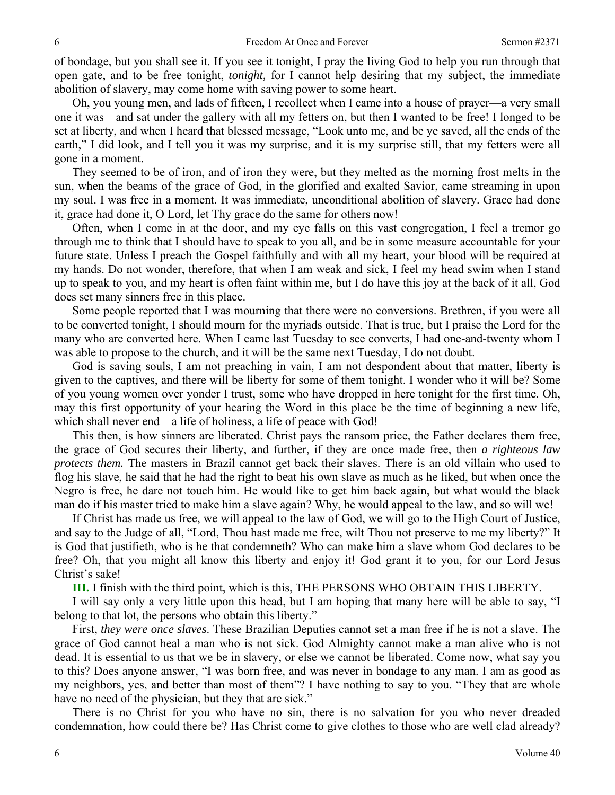of bondage, but you shall see it. If you see it tonight, I pray the living God to help you run through that open gate, and to be free tonight, *tonight,* for I cannot help desiring that my subject, the immediate abolition of slavery, may come home with saving power to some heart.

Oh, you young men, and lads of fifteen, I recollect when I came into a house of prayer—a very small one it was—and sat under the gallery with all my fetters on, but then I wanted to be free! I longed to be set at liberty, and when I heard that blessed message, "Look unto me, and be ye saved, all the ends of the earth," I did look, and I tell you it was my surprise, and it is my surprise still, that my fetters were all gone in a moment.

They seemed to be of iron, and of iron they were, but they melted as the morning frost melts in the sun, when the beams of the grace of God, in the glorified and exalted Savior, came streaming in upon my soul. I was free in a moment. It was immediate, unconditional abolition of slavery. Grace had done it, grace had done it, O Lord, let Thy grace do the same for others now!

Often, when I come in at the door, and my eye falls on this vast congregation, I feel a tremor go through me to think that I should have to speak to you all, and be in some measure accountable for your future state. Unless I preach the Gospel faithfully and with all my heart, your blood will be required at my hands. Do not wonder, therefore, that when I am weak and sick, I feel my head swim when I stand up to speak to you, and my heart is often faint within me, but I do have this joy at the back of it all, God does set many sinners free in this place.

Some people reported that I was mourning that there were no conversions. Brethren, if you were all to be converted tonight, I should mourn for the myriads outside. That is true, but I praise the Lord for the many who are converted here. When I came last Tuesday to see converts, I had one-and-twenty whom I was able to propose to the church, and it will be the same next Tuesday, I do not doubt.

God is saving souls, I am not preaching in vain, I am not despondent about that matter, liberty is given to the captives, and there will be liberty for some of them tonight. I wonder who it will be? Some of you young women over yonder I trust, some who have dropped in here tonight for the first time. Oh, may this first opportunity of your hearing the Word in this place be the time of beginning a new life, which shall never end—a life of holiness, a life of peace with God!

This then, is how sinners are liberated. Christ pays the ransom price, the Father declares them free, the grace of God secures their liberty, and further, if they are once made free, then *a righteous law protects them.* The masters in Brazil cannot get back their slaves. There is an old villain who used to flog his slave, he said that he had the right to beat his own slave as much as he liked, but when once the Negro is free, he dare not touch him. He would like to get him back again, but what would the black man do if his master tried to make him a slave again? Why, he would appeal to the law, and so will we!

If Christ has made us free, we will appeal to the law of God, we will go to the High Court of Justice, and say to the Judge of all, "Lord, Thou hast made me free, wilt Thou not preserve to me my liberty?" It is God that justifieth, who is he that condemneth? Who can make him a slave whom God declares to be free? Oh, that you might all know this liberty and enjoy it! God grant it to you, for our Lord Jesus Christ's sake!

**III.** I finish with the third point, which is this, THE PERSONS WHO OBTAIN THIS LIBERTY.

I will say only a very little upon this head, but I am hoping that many here will be able to say, "I belong to that lot, the persons who obtain this liberty."

First, *they were once slaves*. These Brazilian Deputies cannot set a man free if he is not a slave. The grace of God cannot heal a man who is not sick. God Almighty cannot make a man alive who is not dead. It is essential to us that we be in slavery, or else we cannot be liberated. Come now, what say you to this? Does anyone answer, "I was born free, and was never in bondage to any man. I am as good as my neighbors, yes, and better than most of them"? I have nothing to say to you. "They that are whole have no need of the physician, but they that are sick."

There is no Christ for you who have no sin, there is no salvation for you who never dreaded condemnation, how could there be? Has Christ come to give clothes to those who are well clad already?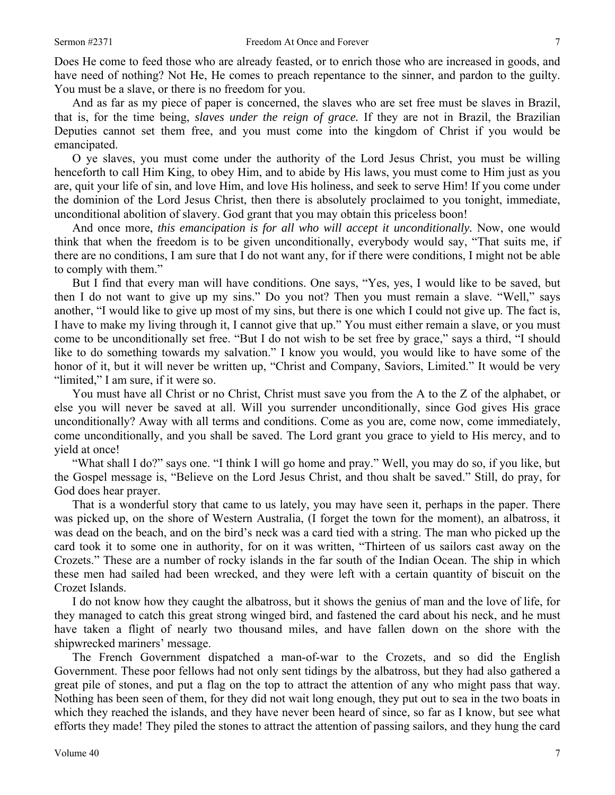Does He come to feed those who are already feasted, or to enrich those who are increased in goods, and have need of nothing? Not He, He comes to preach repentance to the sinner, and pardon to the guilty. You must be a slave, or there is no freedom for you.

And as far as my piece of paper is concerned, the slaves who are set free must be slaves in Brazil, that is, for the time being, *slaves under the reign of grace.* If they are not in Brazil, the Brazilian Deputies cannot set them free, and you must come into the kingdom of Christ if you would be emancipated.

O ye slaves, you must come under the authority of the Lord Jesus Christ, you must be willing henceforth to call Him King, to obey Him, and to abide by His laws, you must come to Him just as you are, quit your life of sin, and love Him, and love His holiness, and seek to serve Him! If you come under the dominion of the Lord Jesus Christ, then there is absolutely proclaimed to you tonight, immediate, unconditional abolition of slavery. God grant that you may obtain this priceless boon!

And once more, *this emancipation is for all who will accept it unconditionally.* Now, one would think that when the freedom is to be given unconditionally, everybody would say, "That suits me, if there are no conditions, I am sure that I do not want any, for if there were conditions, I might not be able to comply with them."

But I find that every man will have conditions. One says, "Yes, yes, I would like to be saved, but then I do not want to give up my sins." Do you not? Then you must remain a slave. "Well," says another, "I would like to give up most of my sins, but there is one which I could not give up. The fact is, I have to make my living through it, I cannot give that up." You must either remain a slave, or you must come to be unconditionally set free. "But I do not wish to be set free by grace," says a third, "I should like to do something towards my salvation." I know you would, you would like to have some of the honor of it, but it will never be written up, "Christ and Company, Saviors, Limited." It would be very "limited," I am sure, if it were so.

You must have all Christ or no Christ, Christ must save you from the A to the Z of the alphabet, or else you will never be saved at all. Will you surrender unconditionally, since God gives His grace unconditionally? Away with all terms and conditions. Come as you are, come now, come immediately, come unconditionally, and you shall be saved. The Lord grant you grace to yield to His mercy, and to yield at once!

"What shall I do?" says one. "I think I will go home and pray." Well, you may do so, if you like, but the Gospel message is, "Believe on the Lord Jesus Christ, and thou shalt be saved." Still, do pray, for God does hear prayer.

That is a wonderful story that came to us lately, you may have seen it, perhaps in the paper. There was picked up, on the shore of Western Australia, (I forget the town for the moment), an albatross, it was dead on the beach, and on the bird's neck was a card tied with a string. The man who picked up the card took it to some one in authority, for on it was written, "Thirteen of us sailors cast away on the Crozets." These are a number of rocky islands in the far south of the Indian Ocean. The ship in which these men had sailed had been wrecked, and they were left with a certain quantity of biscuit on the Crozet Islands.

I do not know how they caught the albatross, but it shows the genius of man and the love of life, for they managed to catch this great strong winged bird, and fastened the card about his neck, and he must have taken a flight of nearly two thousand miles, and have fallen down on the shore with the shipwrecked mariners' message.

The French Government dispatched a man-of-war to the Crozets, and so did the English Government. These poor fellows had not only sent tidings by the albatross, but they had also gathered a great pile of stones, and put a flag on the top to attract the attention of any who might pass that way. Nothing has been seen of them, for they did not wait long enough, they put out to sea in the two boats in which they reached the islands, and they have never been heard of since, so far as I know, but see what efforts they made! They piled the stones to attract the attention of passing sailors, and they hung the card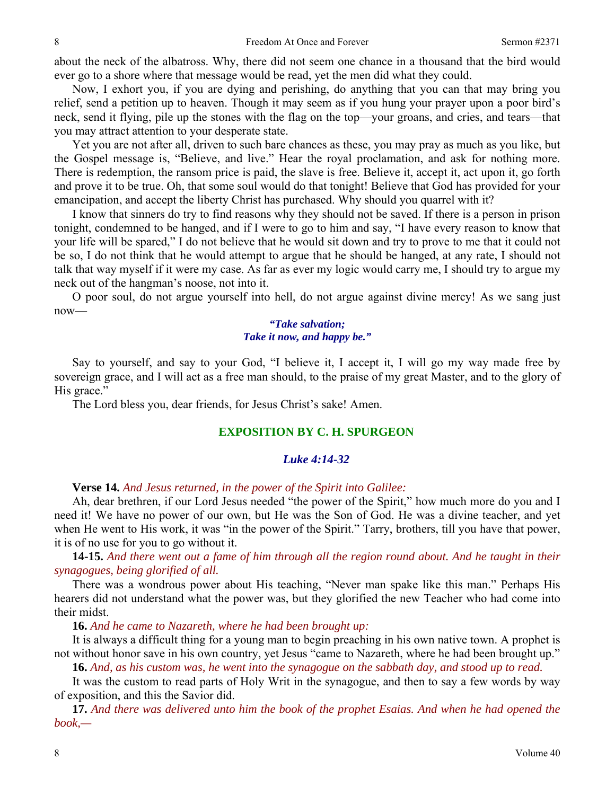about the neck of the albatross. Why, there did not seem one chance in a thousand that the bird would ever go to a shore where that message would be read, yet the men did what they could.

Now, I exhort you, if you are dying and perishing, do anything that you can that may bring you relief, send a petition up to heaven. Though it may seem as if you hung your prayer upon a poor bird's neck, send it flying, pile up the stones with the flag on the top—your groans, and cries, and tears—that you may attract attention to your desperate state.

Yet you are not after all, driven to such bare chances as these, you may pray as much as you like, but the Gospel message is, "Believe, and live." Hear the royal proclamation, and ask for nothing more. There is redemption, the ransom price is paid, the slave is free. Believe it, accept it, act upon it, go forth and prove it to be true. Oh, that some soul would do that tonight! Believe that God has provided for your emancipation, and accept the liberty Christ has purchased. Why should you quarrel with it?

I know that sinners do try to find reasons why they should not be saved. If there is a person in prison tonight, condemned to be hanged, and if I were to go to him and say, "I have every reason to know that your life will be spared," I do not believe that he would sit down and try to prove to me that it could not be so, I do not think that he would attempt to argue that he should be hanged, at any rate, I should not talk that way myself if it were my case. As far as ever my logic would carry me, I should try to argue my neck out of the hangman's noose, not into it.

O poor soul, do not argue yourself into hell, do not argue against divine mercy! As we sang just now—

## *"Take salvation; Take it now, and happy be."*

Say to yourself, and say to your God, "I believe it, I accept it, I will go my way made free by sovereign grace, and I will act as a free man should, to the praise of my great Master, and to the glory of His grace."

The Lord bless you, dear friends, for Jesus Christ's sake! Amen.

## **EXPOSITION BY C. H. SPURGEON**

### *Luke 4:14-32*

### **Verse 14.** *And Jesus returned, in the power of the Spirit into Galilee:*

Ah, dear brethren, if our Lord Jesus needed "the power of the Spirit," how much more do you and I need it! We have no power of our own, but He was the Son of God. He was a divine teacher, and yet when He went to His work, it was "in the power of the Spirit." Tarry, brothers, till you have that power, it is of no use for you to go without it.

**14-15.** *And there went out a fame of him through all the region round about. And he taught in their synagogues, being glorified of all.* 

There was a wondrous power about His teaching, "Never man spake like this man." Perhaps His hearers did not understand what the power was, but they glorified the new Teacher who had come into their midst.

**16.** *And he came to Nazareth, where he had been brought up:* 

It is always a difficult thing for a young man to begin preaching in his own native town. A prophet is not without honor save in his own country, yet Jesus "came to Nazareth, where he had been brought up."

**16.** *And, as his custom was, he went into the synagogue on the sabbath day, and stood up to read.* 

It was the custom to read parts of Holy Writ in the synagogue, and then to say a few words by way of exposition, and this the Savior did.

**17.** *And there was delivered unto him the book of the prophet Esaias. And when he had opened the book,—*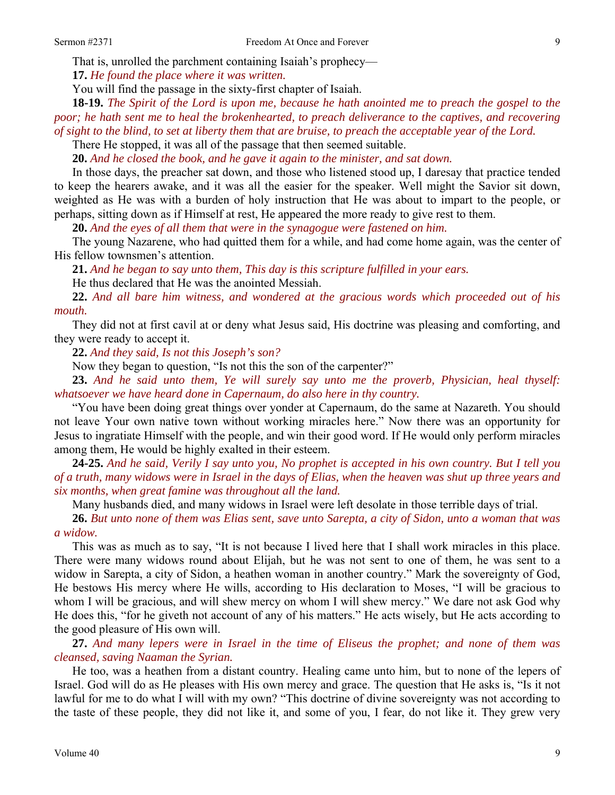That is, unrolled the parchment containing Isaiah's prophecy—

**17.** *He found the place where it was written.* 

You will find the passage in the sixty-first chapter of Isaiah.

**18-19.** *The Spirit of the Lord is upon me, because he hath anointed me to preach the gospel to the poor; he hath sent me to heal the brokenhearted, to preach deliverance to the captives, and recovering of sight to the blind, to set at liberty them that are bruise, to preach the acceptable year of the Lord.* 

There He stopped, it was all of the passage that then seemed suitable.

**20.** *And he closed the book, and he gave it again to the minister, and sat down.* 

In those days, the preacher sat down, and those who listened stood up, I daresay that practice tended to keep the hearers awake, and it was all the easier for the speaker. Well might the Savior sit down, weighted as He was with a burden of holy instruction that He was about to impart to the people, or perhaps, sitting down as if Himself at rest, He appeared the more ready to give rest to them.

**20.** *And the eyes of all them that were in the synagogue were fastened on him.* 

The young Nazarene, who had quitted them for a while, and had come home again, was the center of His fellow townsmen's attention.

**21.** *And he began to say unto them, This day is this scripture fulfilled in your ears.* 

He thus declared that He was the anointed Messiah.

**22.** *And all bare him witness, and wondered at the gracious words which proceeded out of his mouth.* 

They did not at first cavil at or deny what Jesus said, His doctrine was pleasing and comforting, and they were ready to accept it.

**22.** *And they said, Is not this Joseph's son?* 

Now they began to question, "Is not this the son of the carpenter?"

**23.** *And he said unto them, Ye will surely say unto me the proverb, Physician, heal thyself: whatsoever we have heard done in Capernaum, do also here in thy country.* 

"You have been doing great things over yonder at Capernaum, do the same at Nazareth. You should not leave Your own native town without working miracles here." Now there was an opportunity for Jesus to ingratiate Himself with the people, and win their good word. If He would only perform miracles among them, He would be highly exalted in their esteem.

**24-25.** *And he said, Verily I say unto you, No prophet is accepted in his own country. But I tell you of a truth, many widows were in Israel in the days of Elias, when the heaven was shut up three years and six months, when great famine was throughout all the land.* 

Many husbands died, and many widows in Israel were left desolate in those terrible days of trial.

**26.** *But unto none of them was Elias sent, save unto Sarepta, a city of Sidon, unto a woman that was a widow.* 

This was as much as to say, "It is not because I lived here that I shall work miracles in this place. There were many widows round about Elijah, but he was not sent to one of them, he was sent to a widow in Sarepta, a city of Sidon, a heathen woman in another country." Mark the sovereignty of God, He bestows His mercy where He wills, according to His declaration to Moses, "I will be gracious to whom I will be gracious, and will shew mercy on whom I will shew mercy." We dare not ask God why He does this, "for he giveth not account of any of his matters." He acts wisely, but He acts according to the good pleasure of His own will.

**27.** *And many lepers were in Israel in the time of Eliseus the prophet; and none of them was cleansed, saving Naaman the Syrian.* 

He too, was a heathen from a distant country. Healing came unto him, but to none of the lepers of Israel. God will do as He pleases with His own mercy and grace. The question that He asks is, "Is it not lawful for me to do what I will with my own? "This doctrine of divine sovereignty was not according to the taste of these people, they did not like it, and some of you, I fear, do not like it. They grew very